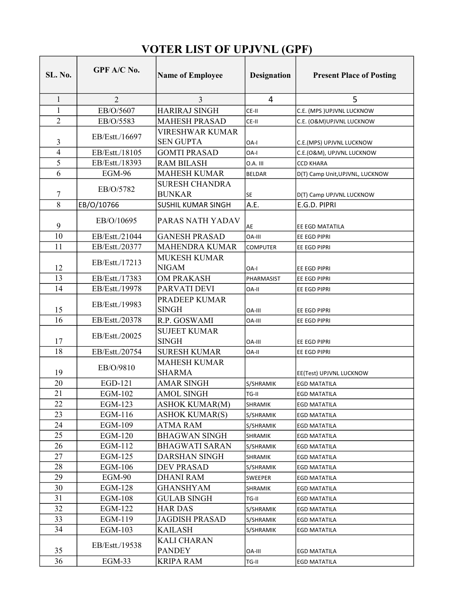## VOTER LIST OF UPJVNL (GPF)

| SL. No.        | GPF A/C No.    | <b>Name of Employee</b>                    | <b>Designation</b> | <b>Present Place of Posting</b> |
|----------------|----------------|--------------------------------------------|--------------------|---------------------------------|
| $\mathbf{1}$   | $\overline{2}$ | 3                                          | 4                  | 5                               |
| $\mathbf{1}$   | EB/O/5607      | <b>HARIRAJ SINGH</b>                       | CE-II              | C.E. (MPS )UPJVNL LUCKNOW       |
| $\overline{2}$ | EB/O/5583      | <b>MAHESH PRASAD</b>                       | CE-II              | C.E. (O&M)UPJVNL LUCKNOW        |
| 3              | EB/Estt./16697 | <b>VIRESHWAR KUMAR</b><br><b>SEN GUPTA</b> | OA-I               | C.E.(MPS) UPJVNL LUCKNOW        |
| $\overline{4}$ | EB/Estt./18105 | <b>GOMTI PRASAD</b>                        | OA-I               | C.E.(O&M), UPJVNL LUCKNOW       |
| 5              | EB/Estt./18393 | <b>RAM BILASH</b>                          | 0.A. III           | <b>CCD KHARA</b>                |
| 6              | <b>EGM-96</b>  | <b>MAHESH KUMAR</b>                        | <b>BELDAR</b>      | D(T) Camp Unit, UPJVNL, LUCKNOW |
|                |                | <b>SURESH CHANDRA</b>                      |                    |                                 |
| 7              | EB/O/5782      | <b>BUNKAR</b>                              | <b>SE</b>          | D(T) Camp UPJVNL LUCKNOW        |
| 8              | EB/O/10766     | SUSHIL KUMAR SINGH                         | A.E.               | E.G.D. PIPRI                    |
| 9              | EB/O/10695     | PARAS NATH YADAV                           | AE                 | EE EGD MATATILA                 |
| 10             | EB/Estt./21044 | <b>GANESH PRASAD</b>                       | <b>OA-III</b>      | EE EGD PIPRI                    |
| 11             | EB/Estt./20377 | <b>MAHENDRA KUMAR</b>                      | <b>COMPUTER</b>    | EE EGD PIPRI                    |
| 12             | EB/Estt./17213 | <b>MUKESH KUMAR</b><br><b>NIGAM</b>        | OA-I               | EE EGD PIPRI                    |
| 13             | EB/Estt./17383 | <b>OM PRAKASH</b>                          | PHARMASIST         | EE EGD PIPRI                    |
| 14             | EB/Estt./19978 | PARVATI DEVI                               | OA-II              | EE EGD PIPRI                    |
| 15             | EB/Estt./19983 | PRADEEP KUMAR<br><b>SINGH</b>              | <b>OA-III</b>      | EE EGD PIPRI                    |
| 16             | EB/Estt./20378 | R.P. GOSWAMI                               | OA-III             | EE EGD PIPRI                    |
| 17             | EB/Estt./20025 | <b>SUJEET KUMAR</b><br><b>SINGH</b>        | OA-III             | EE EGD PIPRI                    |
| 18             | EB/Estt./20754 | <b>SURESH KUMAR</b>                        | OA-II              | EE EGD PIPRI                    |
| 19             | EB/O/9810      | <b>MAHESH KUMAR</b><br><b>SHARMA</b>       |                    | EE(Test) UPJVNL LUCKNOW         |
| 20             | EGD-121        | <b>AMAR SINGH</b>                          | S/SHRAMIK          | <b>EGD MATATILA</b>             |
| 21             | <b>EGM-102</b> | <b>AMOL SINGH</b>                          | TG-II              | <b>EGD MATATILA</b>             |
| 22             | EGM-123        | <b>ASHOK KUMAR(M)</b>                      | SHRAMIK            | <b>EGD MATATILA</b>             |
| 23             | EGM-116        | <b>ASHOK KUMAR(S)</b>                      | S/SHRAMIK          | EGD MATATILA                    |
| 24             | EGM-109        | ATMA RAM                                   | S/SHRAMIK          | <b>EGD MATATILA</b>             |
| 25             | EGM-120        | <b>BHAGWAN SINGH</b>                       | SHRAMIK            | EGD MATATILA                    |
| 26             | EGM-112        | <b>BHAGWATI SARAN</b>                      | S/SHRAMIK          | <b>EGD MATATILA</b>             |
| 27             | EGM-125        | <b>DARSHAN SINGH</b>                       | <b>SHRAMIK</b>     | <b>EGD MATATILA</b>             |
| 28             | EGM-106        | DEV PRASAD                                 | S/SHRAMIK          | <b>EGD MATATILA</b>             |
| 29             | EGM-90         | <b>DHANI RAM</b>                           | SWEEPER            | EGD MATATILA                    |
| 30             | EGM-128        | GHANSHYAM                                  | SHRAMIK            | <b>EGD MATATILA</b>             |
| 31             | EGM-108        | GULAB SINGH                                | TG-II              | EGD MATATILA                    |
| 32             | EGM-122        | HAR DAS                                    | S/SHRAMIK          | <b>EGD MATATILA</b>             |
| 33             | EGM-119        | <b>JAGDISH PRASAD</b>                      | S/SHRAMIK          | EGD MATATILA                    |
| 34             | EGM-103        | KAILASH                                    | S/SHRAMIK          | <b>EGD MATATILA</b>             |
| 35             | EB/Estt./19538 | <b>KALI CHARAN</b><br><b>PANDEY</b>        | OA-III             | EGD MATATILA                    |
| 36             | $EGM-33$       | <b>KRIPA RAM</b>                           | TG-II              | <b>EGD MATATILA</b>             |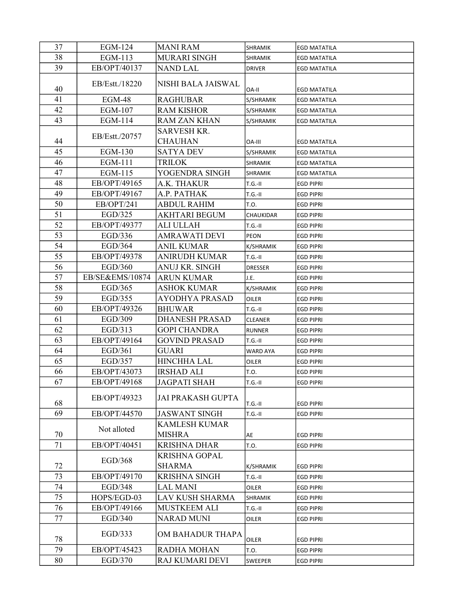| 37       | EGM-124         | <b>MANI RAM</b>          | SHRAMIK         | <b>EGD MATATILA</b> |
|----------|-----------------|--------------------------|-----------------|---------------------|
| 38       | EGM-113         | <b>MURARI SINGH</b>      | SHRAMIK         | <b>EGD MATATILA</b> |
| 39       | EB/OPT/40137    | <b>NAND LAL</b>          | <b>DRIVER</b>   | <b>EGD MATATILA</b> |
|          |                 |                          |                 |                     |
| 40       | EB/Estt./18220  | NISHI BALA JAISWAL       | OA-II           | <b>EGD MATATILA</b> |
| 41       | EGM-48          | <b>RAGHUBAR</b>          | S/SHRAMIK       | <b>EGD MATATILA</b> |
| 42       | EGM-107         | <b>RAM KISHOR</b>        | S/SHRAMIK       | <b>EGD MATATILA</b> |
| 43       | EGM-114         | <b>RAM ZAN KHAN</b>      | S/SHRAMIK       | <b>EGD MATATILA</b> |
|          |                 | <b>SARVESH KR.</b>       |                 |                     |
| 44       | EB/Estt./20757  | <b>CHAUHAN</b>           | OA-III          | <b>EGD MATATILA</b> |
| 45       | EGM-130         | <b>SATYA DEV</b>         | S/SHRAMIK       | <b>EGD MATATILA</b> |
| 46       | EGM-111         | <b>TRILOK</b>            | <b>SHRAMIK</b>  | <b>EGD MATATILA</b> |
| 47       | EGM-115         | YOGENDRA SINGH           | SHRAMIK         | <b>EGD MATATILA</b> |
| 48       | EB/OPT/49165    | A.K. THAKUR              | $T.G.-II$       | <b>EGD PIPRI</b>    |
| 49       | EB/OPT/49167    | A.P. PATHAK              | $T.G.-II$       | <b>EGD PIPRI</b>    |
| 50       | EB/OPT/241      | ABDUL RAHIM              | T.O.            | <b>EGD PIPRI</b>    |
| 51       | EGD/325         | <b>AKHTARI BEGUM</b>     | CHAUKIDAR       | <b>EGD PIPRI</b>    |
| 52       | EB/OPT/49377    | <b>ALI ULLAH</b>         | $T.G.-II$       | <b>EGD PIPRI</b>    |
| 53       | EGD/336         | AMRAWATI DEVI            | <b>PEON</b>     | <b>EGD PIPRI</b>    |
| 54       | EGD/364         | <b>ANIL KUMAR</b>        | K/SHRAMIK       | <b>EGD PIPRI</b>    |
| 55       | EB/OPT/49378    | <b>ANIRUDH KUMAR</b>     | $T.G.-II$       | <b>EGD PIPRI</b>    |
| 56       | EGD/360         | ANUJ KR. SINGH           | <b>DRESSER</b>  | <b>EGD PIPRI</b>    |
| 57       | EB/SE&EMS/10874 | <b>ARUN KUMAR</b>        | J.E.            | <b>EGD PIPRI</b>    |
| 58       | EGD/365         | <b>ASHOK KUMAR</b>       | K/SHRAMIK       | <b>EGD PIPRI</b>    |
| 59       | EGD/355         | <b>AYODHYA PRASAD</b>    | <b>OILER</b>    | <b>EGD PIPRI</b>    |
| 60       | EB/OPT/49326    | <b>BHUWAR</b>            | $T.G.-II$       | <b>EGD PIPRI</b>    |
| 61       | EGD/309         | <b>DHANESH PRASAD</b>    | CLEANER         | <b>EGD PIPRI</b>    |
| 62       | EGD/313         | <b>GOPI CHANDRA</b>      | <b>RUNNER</b>   | <b>EGD PIPRI</b>    |
| 63       | EB/OPT/49164    | <b>GOVIND PRASAD</b>     | $T.G.-II$       | <b>EGD PIPRI</b>    |
| 64       | EGD/361         | <b>GUARI</b>             | <b>WARD AYA</b> | <b>EGD PIPRI</b>    |
| 65       | EGD/357         | <b>HINCHHA LAL</b>       | OILER           | <b>EGD PIPRI</b>    |
| 66       | EB/OPT/43073    | <b>IRSHAD ALI</b>        | T.O.            | <b>EGD PIPRI</b>    |
| 67       | EB/OPT/49168    | <b>JAGPATI SHAH</b>      | $T.G.-II$       | <b>EGD PIPRI</b>    |
|          | EB/OPT/49323    | <b>JAI PRAKASH GUPTA</b> |                 |                     |
| 68       |                 |                          | $T.G.-II$       | <b>EGD PIPRI</b>    |
| 69       | EB/OPT/44570    | <b>JASWANT SINGH</b>     | $T.G.-II$       | <b>EGD PIPRI</b>    |
|          | Not alloted     | <b>KAMLESH KUMAR</b>     |                 |                     |
| 70       |                 | <b>MISHRA</b>            | AE              | <b>EGD PIPRI</b>    |
| 71       | EB/OPT/40451    | <b>KRISHNA DHAR</b>      | T.O.            | <b>EGD PIPRI</b>    |
|          | EGD/368         | <b>KRISHNA GOPAL</b>     |                 |                     |
| 72       |                 | <b>SHARMA</b>            | K/SHRAMIK       | <b>EGD PIPRI</b>    |
| 73       | EB/OPT/49170    | <b>KRISHNA SINGH</b>     | $T.G.-II$       | <b>EGD PIPRI</b>    |
| 74       | EGD/348         | LAL MANI                 | OILER           | <b>EGD PIPRI</b>    |
| 75       | HOPS/EGD-03     | <b>LAV KUSH SHARMA</b>   | SHRAMIK         | <b>EGD PIPRI</b>    |
| 76       | EB/OPT/49166    | MUSTKEEM ALI             | $T.G.-II$       | <b>EGD PIPRI</b>    |
| 77       | EGD/340         | <b>NARAD MUNI</b>        | OILER           | <b>EGD PIPRI</b>    |
|          | EGD/333         | OM BAHADUR THAPA         |                 |                     |
| 78       |                 |                          | <b>OILER</b>    | <b>EGD PIPRI</b>    |
| 79<br>80 | EB/OPT/45423    | RADHA MOHAN              | T.O.            | <b>EGD PIPRI</b>    |
|          | EGD/370         | RAJ KUMARI DEVI          | SWEEPER         | <b>EGD PIPRI</b>    |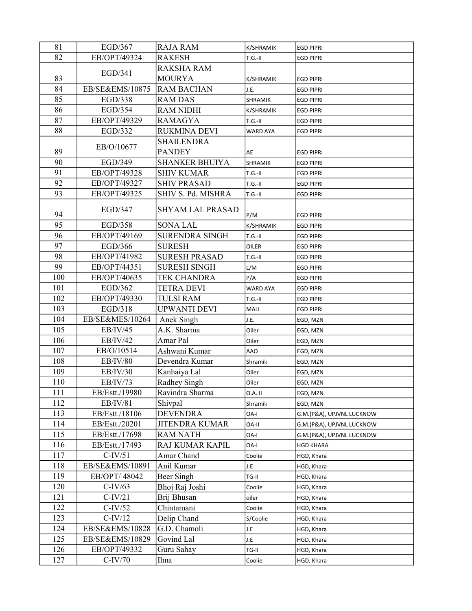| 81  | EGD/367         | <b>RAJA RAM</b>         | K/SHRAMIK       | <b>EGD PIPRI</b>          |
|-----|-----------------|-------------------------|-----------------|---------------------------|
| 82  | EB/OPT/49324    | <b>RAKESH</b>           | $T.G.-II$       | <b>EGD PIPRI</b>          |
|     |                 | RAKSHA RAM              |                 |                           |
| 83  | EGD/341         | <b>MOURYA</b>           | K/SHRAMIK       | <b>EGD PIPRI</b>          |
| 84  | EB/SE&EMS/10875 | <b>RAM BACHAN</b>       | J.E.            | <b>EGD PIPRI</b>          |
| 85  | EGD/338         | <b>RAM DAS</b>          | SHRAMIK         | <b>EGD PIPRI</b>          |
| 86  | EGD/354         | <b>RAM NIDHI</b>        | K/SHRAMIK       | <b>EGD PIPRI</b>          |
| 87  | EB/OPT/49329    | <b>RAMAGYA</b>          | $T.G.-II$       | <b>EGD PIPRI</b>          |
| 88  | EGD/332         | <b>RUKMINA DEVI</b>     | <b>WARD AYA</b> | <b>EGD PIPRI</b>          |
|     |                 | <b>SHAILENDRA</b>       |                 |                           |
| 89  | EB/O/10677      | <b>PANDEY</b>           | AE              | <b>EGD PIPRI</b>          |
| 90  | EGD/349         | <b>SHANKER BHUIYA</b>   | SHRAMIK         | <b>EGD PIPRI</b>          |
| 91  | EB/OPT/49328    | <b>SHIV KUMAR</b>       | $T.G.-II$       | <b>EGD PIPRI</b>          |
| 92  | EB/OPT/49327    | <b>SHIV PRASAD</b>      | $T.G.-II$       | <b>EGD PIPRI</b>          |
| 93  | EB/OPT/49325    | SHIV S. Pd. MISHRA      | $T.G.-II$       | <b>EGD PIPRI</b>          |
|     | EGD/347         | <b>SHYAM LAL PRASAD</b> |                 |                           |
| 94  |                 |                         | P/M             | <b>EGD PIPRI</b>          |
| 95  | EGD/358         | <b>SONA LAL</b>         | K/SHRAMIK       | <b>EGD PIPRI</b>          |
| 96  | EB/OPT/49169    | <b>SURENDRA SINGH</b>   | $T.G.-II$       | <b>EGD PIPRI</b>          |
| 97  | EGD/366         | <b>SURESH</b>           | OILER           | <b>EGD PIPRI</b>          |
| 98  | EB/OPT/41982    | <b>SURESH PRASAD</b>    | $T.G.-II$       | <b>EGD PIPRI</b>          |
| 99  | EB/OPT/44351    | <b>SURESH SINGH</b>     | L/M             | <b>EGD PIPRI</b>          |
| 100 | EB/OPT/40635    | TEK CHANDRA             | P/A             | <b>EGD PIPRI</b>          |
| 101 | EGD/362         | <b>TETRA DEVI</b>       | <b>WARD AYA</b> | <b>EGD PIPRI</b>          |
| 102 | EB/OPT/49330    | <b>TULSI RAM</b>        | $T.G.-II$       | <b>EGD PIPRI</b>          |
| 103 | EGD/318         | <b>UPWANTI DEVI</b>     | MALI            | <b>EGD PIPRI</b>          |
| 104 | EB/SE&MES/10264 | Anek Singh              | J.E.            | EGD, MZN                  |
| 105 | EB/IV/45        | A.K. Sharma             | Oiler           | EGD, MZN                  |
| 106 | EB/IV/42        | Amar Pal                | Oiler           | EGD, MZN                  |
| 107 | EB/O/10514      | Ashwani Kumar           | <b>AAO</b>      | EGD, MZN                  |
| 108 | EB/IV/80        | Devendra Kumar          | Shramik         | EGD, MZN                  |
| 109 | EB/IV/30        | Kanhaiya Lal            | Oiler           | EGD, MZN                  |
| 110 | <b>EB/IV/73</b> | Radhey Singh            | Oiler           | EGD, MZN                  |
| 111 | EB/Estt./19980  | Ravindra Sharma         | 0.A.II          | EGD, MZN                  |
| 112 | <b>EB/IV/81</b> | Shivpal                 | Shramik         | EGD, MZN                  |
| 113 | EB/Estt./18106  | <b>DEVENDRA</b>         | OA-I            | G.M.(P&A), UPJVNL LUCKNOW |
| 114 | EB/Estt./20201  | <b>JITENDRA KUMAR</b>   | <b>OA-II</b>    | G.M.(P&A), UPJVNL LUCKNOW |
| 115 | EB/Estt./17698  | <b>RAM NATH</b>         | OA-I            | G.M.(P&A), UPJVNL LUCKNOW |
| 116 | EB/Estt./17493  | RAJ KUMAR KAPIL         | OA-I            | <b>HGD KHARA</b>          |
| 117 | $C-IV/51$       | Amar Chand              | Coolie          | HGD, Khara                |
| 118 | EB/SE&EMS/10891 | Anil Kumar              | J.E             | HGD, Khara                |
| 119 | EB/OPT/48042    | Beer Singh              | TG-II           | HGD, Khara                |
| 120 | $C-IV/63$       | Bhoj Raj Joshi          | Coolie          | HGD, Khara                |
| 121 | $C-IV/21$       | Brij Bhusan             | oiler           | HGD, Khara                |
| 122 | $C-IV/52$       | Chintamani              | Coolie          | HGD, Khara                |
| 123 | $C-IV/12$       | Delip Chand             | S/Coolie        | HGD, Khara                |
| 124 | EB/SE&EMS/10828 | G.D. Chamoli            | J.E             | HGD, Khara                |
| 125 | EB/SE&EMS/10829 | Govind Lal              | J.E             | HGD, Khara                |
| 126 | EB/OPT/49332    | Guru Sahay              | TG-II           | HGD, Khara                |
| 127 | $C-IV/70$       | Ilma                    | Coolie          | HGD, Khara                |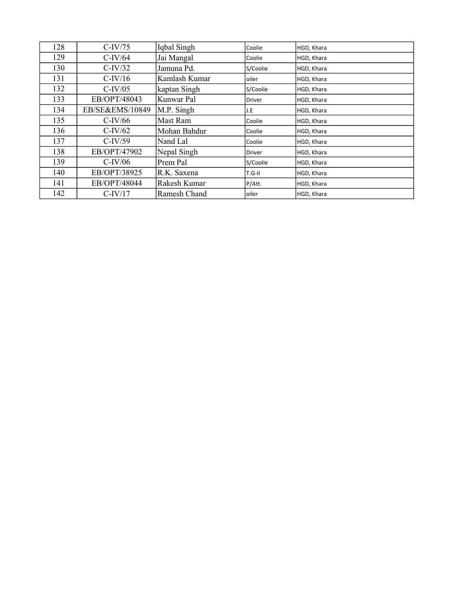| 128 | $C-IV/75$       | Iqbal Singh   | Coolie        | HGD, Khara |
|-----|-----------------|---------------|---------------|------------|
| 129 | $C-IV/64$       | Jai Mangal    | Coolie        | HGD, Khara |
| 130 | $C-IV/32$       | Jamuna Pd.    | S/Coolie      | HGD, Khara |
| 131 | $C-IV/16$       | Kamlash Kumar | oiler         | HGD, Khara |
| 132 | $C$ -IV/05      | kaptan Singh  | S/Coolie      | HGD, Khara |
| 133 | EB/OPT/48043    | Kunwar Pal    | <b>Driver</b> | HGD, Khara |
| 134 | EB/SE&EMS/10849 | M.P. Singh    | J.E           | HGD, Khara |
| 135 | $C$ -IV/66      | Mast Ram      | Coolie        | HGD, Khara |
| 136 | $C-IV/62$       | Mohan Bahdur  | Coolie        | HGD, Khara |
| 137 | $C$ -IV/59      | Nand Lal      | Coolie        | HGD, Khara |
| 138 | EB/OPT/47902    | Nepal Singh   | <b>Driver</b> | HGD, Khara |
| 139 | $C-IV/06$       | Prem Pal      | S/Coolie      | HGD, Khara |
| 140 | EB/OPT/38925    | R.K. Saxena   | $T.G-II$      | HGD, Khara |
| 141 | EB/OPT/48044    | Rakesh Kumar  | P/Att.        | HGD, Khara |
| 142 | $C-IV/17$       | Ramesh Chand  | oiler         | HGD, Khara |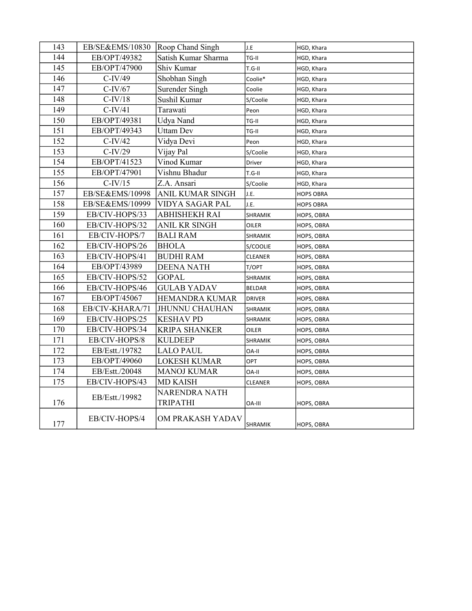| 143 | EB/SE&EMS/10830 | <b>Roop Chand Singh</b>          | J.E            | HGD, Khara       |
|-----|-----------------|----------------------------------|----------------|------------------|
| 144 | EB/OPT/49382    | Satish Kumar Sharma              | TG-II          | HGD, Khara       |
| 145 | EB/OPT/47900    | Shiv Kumar                       | $T.G-II$       | HGD, Khara       |
| 146 | $C-IV/49$       | Shobhan Singh                    | Coolie*        | HGD, Khara       |
| 147 | $C-IV/67$       | Surender Singh                   | Coolie         | HGD, Khara       |
| 148 | $C-IV/18$       | Sushil Kumar                     | S/Coolie       | HGD, Khara       |
| 149 | $C-IV/41$       | Tarawati                         | Peon           | HGD, Khara       |
| 150 | EB/OPT/49381    | Udya Nand                        | TG-II          | HGD, Khara       |
| 151 | EB/OPT/49343    | <b>Uttam Dev</b>                 | TG-II          | HGD, Khara       |
| 152 | $C-IV/42$       | Vidya Devi                       | Peon           | HGD, Khara       |
| 153 | $C-IV/29$       | Vijay Pal                        | S/Coolie       | HGD, Khara       |
| 154 | EB/OPT/41523    | Vinod Kumar                      | Driver         | HGD, Khara       |
| 155 | EB/OPT/47901    | Vishnu Bhadur                    | $T.G-II$       | HGD, Khara       |
| 156 | $C-IV/15$       | Z.A. Ansari                      | S/Coolie       | HGD, Khara       |
| 157 | EB/SE&EMS/10998 | <b>ANIL KUMAR SINGH</b>          | J.E.           | <b>HOPS OBRA</b> |
| 158 | EB/SE&EMS/10999 | VIDYA SAGAR PAL                  | J.E.           | <b>HOPS OBRA</b> |
| 159 | EB/CIV-HOPS/33  | ABHISHEKH RAI                    | SHRAMIK        | HOPS, OBRA       |
| 160 | EB/CIV-HOPS/32  | ANIL KR SINGH                    | OILER          | HOPS, OBRA       |
| 161 | EB/CIV-HOPS/7   | <b>BALI RAM</b>                  | SHRAMIK        | HOPS, OBRA       |
| 162 | EB/CIV-HOPS/26  | <b>BHOLA</b>                     | S/COOLIE       | HOPS, OBRA       |
| 163 | EB/CIV-HOPS/41  | <b>BUDHI RAM</b>                 | <b>CLEANER</b> | HOPS, OBRA       |
| 164 | EB/OPT/43989    | <b>DEENA NATH</b>                | T/OPT          | HOPS, OBRA       |
| 165 | EB/CIV-HOPS/52  | <b>GOPAL</b>                     | SHRAMIK        | HOPS, OBRA       |
| 166 | EB/CIV-HOPS/46  | <b>GULAB YADAV</b>               | <b>BELDAR</b>  | HOPS, OBRA       |
| 167 | EB/OPT/45067    | <b>HEMANDRA KUMAR</b>            | <b>DRIVER</b>  | HOPS, OBRA       |
| 168 | EB/CIV-KHARA/71 | <b>JHUNNU CHAUHAN</b>            | SHRAMIK        | HOPS, OBRA       |
| 169 | EB/CIV-HOPS/25  | <b>KESHAV PD</b>                 | SHRAMIK        | HOPS, OBRA       |
| 170 | EB/CIV-HOPS/34  | <b>KRIPA SHANKER</b>             | OILER          | HOPS, OBRA       |
| 171 | EB/CIV-HOPS/8   | <b>KULDEEP</b>                   | SHRAMIK        | HOPS, OBRA       |
| 172 | EB/Estt./19782  | <b>LALO PAUL</b>                 | OA-II          | HOPS, OBRA       |
| 173 | EB/OPT/49060    | <b>LOKESH KUMAR</b>              | OPT            | HOPS, OBRA       |
| 174 | EB/Estt./20048  | <b>MANOJ KUMAR</b>               | OA-II          | HOPS, OBRA       |
| 175 | EB/CIV-HOPS/43  | <b>MD KAISH</b>                  | <b>CLEANER</b> | HOPS, OBRA       |
| 176 | EB/Estt./19982  | NARENDRA NATH<br><b>TRIPATHI</b> | <b>OA-III</b>  | HOPS, OBRA       |
| 177 | EB/CIV-HOPS/4   | OM PRAKASH YADAV                 | SHRAMIK        | HOPS, OBRA       |